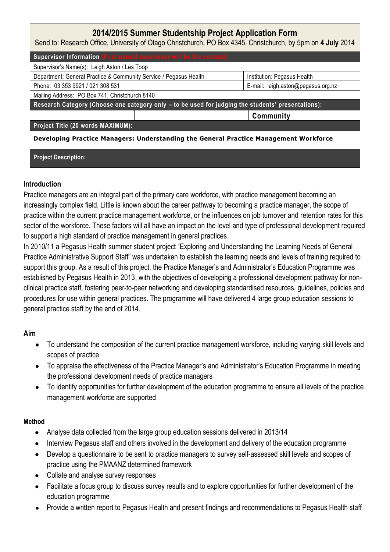# **2014/2015 Summer Studentship Project Application Form**

Send to: Research Office, University of Otago Christchurch, PO Box 4345, Christchurch, by 5pm on **4 July** 2014

| Supervisor Information (First named supervisor will be the contact):                               |  |                                    |
|----------------------------------------------------------------------------------------------------|--|------------------------------------|
| Supervisor's Name(s): Leigh Aston / Les Toop                                                       |  |                                    |
| Department: General Practice & Community Service / Pegasus Health                                  |  | Institution: Pegasus Health        |
| Phone: 03 353 9921 / 021 308 531                                                                   |  | E-mail: leigh.aston@pegasus.org.nz |
| Mailing Address: PO Box 741, Christchurch 8140                                                     |  |                                    |
| Research Category (Choose one category only - to be used for judging the students' presentations): |  |                                    |
|                                                                                                    |  | Community                          |
| Project Title (20 words MAXIMUM):                                                                  |  |                                    |
| Developing Practice Managers: Understanding the General Practice Management Workforce              |  |                                    |

#### **Project Description:**

### **Introduction**

Practice managers are an integral part of the primary care workforce, with practice management becoming an increasingly complex field. Little is known about the career pathway to becoming a practice manager, the scope of practice within the current practice management workforce, or the influences on job turnover and retention rates for this sector of the workforce. These factors will all have an impact on the level and type of professional development required to support a high standard of practice management in general practices.

In 2010/11 a Pegasus Health summer student project "Exploring and Understanding the Learning Needs of General Practice Administrative Support Staff" was undertaken to establish the learning needs and levels of training required to support this group. As a result of this project, the Practice Manager's and Administrator's Education Programme was established by Pegasus Health in 2013, with the objectives of developing a professional development pathway for nonclinical practice staff, fostering peer-to-peer networking and developing standardised resources, guidelines, policies and procedures for use within general practices. The programme will have delivered 4 large group education sessions to general practice staff by the end of 2014.

### **Aim**

- To understand the composition of the current practice management workforce, including varying skill levels and  $\bullet$ scopes of practice
- To appraise the effectiveness of the Practice Manager's and Administrator's Education Programme in meeting the professional development needs of practice managers
- To identify opportunities for further development of the education programme to ensure all levels of the practice management workforce are supported

### **Method**

- Analyse data collected from the large group education sessions delivered in 2013/14
- Interview Pegasus staff and others involved in the development and delivery of the education programme
- Develop a questionnaire to be sent to practice managers to survey self-assessed skill levels and scopes of practice using the PMAANZ determined framework
- Collate and analyse survey responses
- Facilitate a focus group to discuss survey results and to explore opportunities for further development of the education programme
- Provide a written report to Pegasus Health and present findings and recommendations to Pegasus Health staff